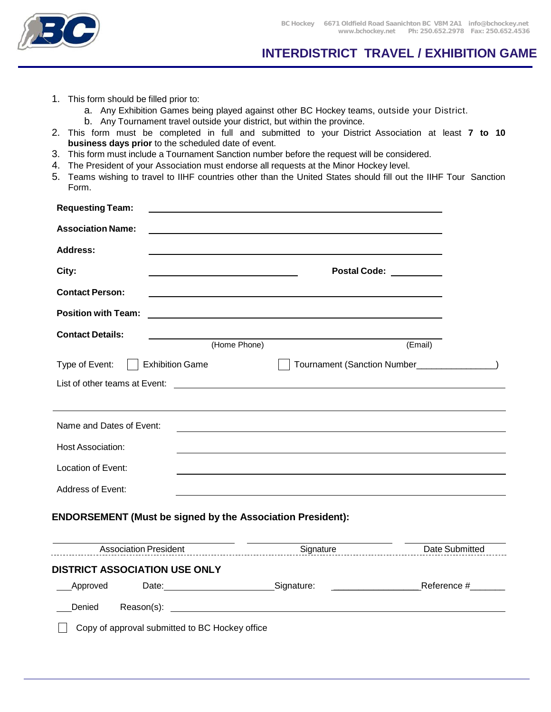L

## **INTERDISTRICT TRAVEL / EXHIBITION GAME**

- 1. This form should be filled prior to:
	- a. Any Exhibition Games being played against other BC Hockey teams, outside your District.
	- b. Any Tournament travel outside your district, but within the province.
- 2. This form must be completed in full and submitted to your District Association at least **7 to 10 business days prior** to the scheduled date of event.
- 3. This form must include a Tournament Sanction number before the request will be considered.
- 4. The President of your Association must endorse all requests at the Minor Hockey level.
- 5. Teams wishing to travel to IIHF countries other than the United States should fill out the IIHF Tour Sanction Form.

| <b>Requesting Team:</b>                                           |                                    |                                              |
|-------------------------------------------------------------------|------------------------------------|----------------------------------------------|
| <b>Association Name:</b>                                          |                                    |                                              |
| <b>Address:</b>                                                   |                                    |                                              |
| City:                                                             | Postal Code: National Postal Code: |                                              |
| <b>Contact Person:</b>                                            |                                    |                                              |
| <b>Position with Team:</b>                                        |                                    |                                              |
| <b>Contact Details:</b>                                           |                                    |                                              |
|                                                                   | (Home Phone)                       | (Email)                                      |
| <b>Exhibition Game</b><br>Type of Event:                          |                                    | Tournament (Sanction Number________________) |
|                                                                   |                                    |                                              |
|                                                                   |                                    |                                              |
| Name and Dates of Event:                                          |                                    |                                              |
| Host Association:                                                 |                                    |                                              |
| Location of Event:                                                |                                    |                                              |
| Address of Event:                                                 |                                    |                                              |
| <b>ENDORSEMENT (Must be signed by the Association President):</b> |                                    |                                              |
|                                                                   |                                    |                                              |
| Association President                                             | Signature                          | Date Submitted                               |
| <b>DISTRICT ASSOCIATION USE ONLY</b>                              |                                    |                                              |
| Approved                                                          | Date: Signature:                   |                                              |
|                                                                   |                                    |                                              |
| Copy of approval submitted to BC Hockey office                    |                                    |                                              |
|                                                                   |                                    |                                              |